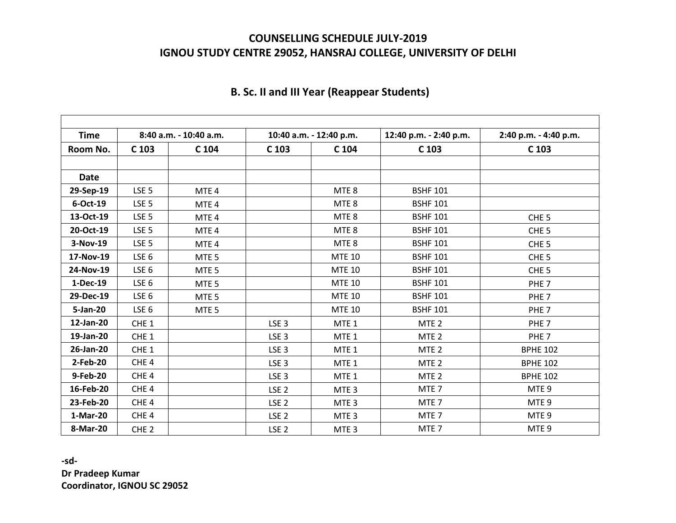## **COUNSELLING SCHEDULE JULY-2019 IGNOU STUDY CENTRE 29052, HANSRAJ COLLEGE, UNIVERSITY OF DELHI**

| <b>Time</b> | 8:40 a.m. - 10:40 a.m. |                  | 10:40 a.m. - 12:40 p.m. |                  | 12:40 p.m. - 2:40 p.m. | 2:40 p.m. - 4:40 p.m. |
|-------------|------------------------|------------------|-------------------------|------------------|------------------------|-----------------------|
| Room No.    | C <sub>103</sub>       | C 104            | C <sub>103</sub>        | C 104            | C <sub>103</sub>       | C <sub>103</sub>      |
|             |                        |                  |                         |                  |                        |                       |
| <b>Date</b> |                        |                  |                         |                  |                        |                       |
| 29-Sep-19   | LSE <sub>5</sub>       | MTE <sub>4</sub> |                         | MTE <sub>8</sub> | <b>BSHF 101</b>        |                       |
| 6-Oct-19    | LSE <sub>5</sub>       | MTE <sub>4</sub> |                         | MTE <sub>8</sub> | <b>BSHF 101</b>        |                       |
| 13-Oct-19   | LSE <sub>5</sub>       | MTE <sub>4</sub> |                         | MTE 8            | <b>BSHF 101</b>        | CHE <sub>5</sub>      |
| 20-Oct-19   | LSE <sub>5</sub>       | MTE <sub>4</sub> |                         | MTE <sub>8</sub> | <b>BSHF 101</b>        | CHE <sub>5</sub>      |
| 3-Nov-19    | LSE <sub>5</sub>       | MTE <sub>4</sub> |                         | MTE <sub>8</sub> | <b>BSHF 101</b>        | CHE <sub>5</sub>      |
| 17-Nov-19   | LSE <sub>6</sub>       | MTE <sub>5</sub> |                         | <b>MTE 10</b>    | <b>BSHF 101</b>        | CHE <sub>5</sub>      |
| 24-Nov-19   | LSE <sub>6</sub>       | MTE <sub>5</sub> |                         | <b>MTE 10</b>    | <b>BSHF 101</b>        | CHE <sub>5</sub>      |
| 1-Dec-19    | LSE <sub>6</sub>       | MTE <sub>5</sub> |                         | <b>MTE 10</b>    | <b>BSHF 101</b>        | PHE <sub>7</sub>      |
| 29-Dec-19   | LSE <sub>6</sub>       | MTE <sub>5</sub> |                         | <b>MTE 10</b>    | <b>BSHF 101</b>        | PHE <sub>7</sub>      |
| 5-Jan-20    | LSE <sub>6</sub>       | MTE <sub>5</sub> |                         | <b>MTE 10</b>    | <b>BSHF 101</b>        | PHE <sub>7</sub>      |
| 12-Jan-20   | CHE <sub>1</sub>       |                  | LSE <sub>3</sub>        | MTE <sub>1</sub> | MTE <sub>2</sub>       | PHE <sub>7</sub>      |
| 19-Jan-20   | CHE <sub>1</sub>       |                  | LSE <sub>3</sub>        | MTE <sub>1</sub> | MTE <sub>2</sub>       | PHE <sub>7</sub>      |
| 26-Jan-20   | CHE <sub>1</sub>       |                  | LSE <sub>3</sub>        | MTE <sub>1</sub> | MTE <sub>2</sub>       | <b>BPHE 102</b>       |
| 2-Feb-20    | CHE <sub>4</sub>       |                  | LSE <sub>3</sub>        | MTE <sub>1</sub> | MTE <sub>2</sub>       | <b>BPHE 102</b>       |
| 9-Feb-20    | CHE <sub>4</sub>       |                  | LSE <sub>3</sub>        | MTE <sub>1</sub> | MTE <sub>2</sub>       | <b>BPHE 102</b>       |
| 16-Feb-20   | CHE <sub>4</sub>       |                  | LSE <sub>2</sub>        | MTE <sub>3</sub> | MTE <sub>7</sub>       | MTE <sub>9</sub>      |
| 23-Feb-20   | CHE <sub>4</sub>       |                  | LSE <sub>2</sub>        | MTE <sub>3</sub> | MTE <sub>7</sub>       | MTE <sub>9</sub>      |
| 1-Mar-20    | CHE <sub>4</sub>       |                  | LSE <sub>2</sub>        | MTE <sub>3</sub> | MTE <sub>7</sub>       | MTE <sub>9</sub>      |
| 8-Mar-20    | CHE <sub>2</sub>       |                  | LSE <sub>2</sub>        | MTE <sub>3</sub> | MTE <sub>7</sub>       | MTE <sub>9</sub>      |

## **B. Sc. II and III Year (Reappear Students)**